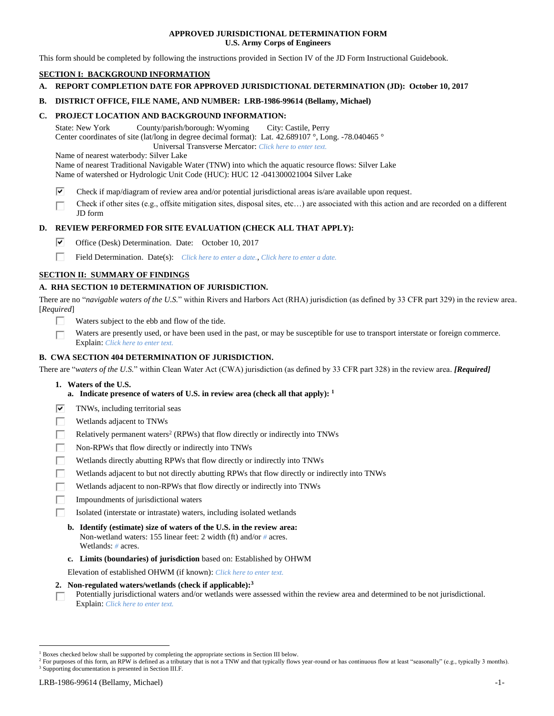## **APPROVED JURISDICTIONAL DETERMINATION FORM U.S. Army Corps of Engineers**

This form should be completed by following the instructions provided in Section IV of the JD Form Instructional Guidebook.

# **SECTION I: BACKGROUND INFORMATION**

**A. REPORT COMPLETION DATE FOR APPROVED JURISDICTIONAL DETERMINATION (JD): October 10, 2017**

## **B. DISTRICT OFFICE, FILE NAME, AND NUMBER: LRB-1986-99614 (Bellamy, Michael)**

# **C. PROJECT LOCATION AND BACKGROUND INFORMATION:**

State: New York County/parish/borough: Wyoming City: Castile, Perry Center coordinates of site (lat/long in degree decimal format): Lat. 42.689107 °, Long. -78.040465 °

Universal Transverse Mercator: *Click here to enter text.*

Name of nearest waterbody: Silver Lake

Name of nearest Traditional Navigable Water (TNW) into which the aquatic resource flows: Silver Lake Name of watershed or Hydrologic Unit Code (HUC): HUC 12 -041300021004 Silver Lake

- ☑ Check if map/diagram of review area and/or potential jurisdictional areas is/are available upon request.
- Check if other sites (e.g., offsite mitigation sites, disposal sites, etc…) are associated with this action and are recorded on a different П JD form

## **D. REVIEW PERFORMED FOR SITE EVALUATION (CHECK ALL THAT APPLY):**

- ⊡ Office (Desk) Determination. Date: October 10, 2017
- П. Field Determination. Date(s): *Click here to enter a date.*, *Click here to enter a date.*

## **SECTION II: SUMMARY OF FINDINGS**

## **A. RHA SECTION 10 DETERMINATION OF JURISDICTION.**

There are no "*navigable waters of the U.S.*" within Rivers and Harbors Act (RHA) jurisdiction (as defined by 33 CFR part 329) in the review area. [*Required*]

- Waters subject to the ebb and flow of the tide.
- Waters are presently used, or have been used in the past, or may be susceptible for use to transport interstate or foreign commerce. г Explain: *Click here to enter text.*

## **B. CWA SECTION 404 DETERMINATION OF JURISDICTION.**

There are "*waters of the U.S.*" within Clean Water Act (CWA) jurisdiction (as defined by 33 CFR part 328) in the review area. *[Required]*

- **1. Waters of the U.S.**
	- **a. Indicate presence of waters of U.S. in review area (check all that apply): 1**
- TNWs, including territorial seas ☞
- П Wetlands adjacent to TNWs
- П Relatively permanent waters<sup>2</sup> (RPWs) that flow directly or indirectly into TNWs
- П Non-RPWs that flow directly or indirectly into TNWs
- г Wetlands directly abutting RPWs that flow directly or indirectly into TNWs
- Wetlands adjacent to but not directly abutting RPWs that flow directly or indirectly into TNWs
- г Wetlands adjacent to non-RPWs that flow directly or indirectly into TNWs
- П Impoundments of jurisdictional waters
- п Isolated (interstate or intrastate) waters, including isolated wetlands
	- **b. Identify (estimate) size of waters of the U.S. in the review area:** Non-wetland waters: 155 linear feet: 2 width (ft) and/or *#* acres. Wetlands: *#* acres.
	- **c. Limits (boundaries) of jurisdiction** based on: Established by OHWM

Elevation of established OHWM (if known): *Click here to enter text.*

- **2. Non-regulated waters/wetlands (check if applicable): 3**
- Potentially jurisdictional waters and/or wetlands were assessed within the review area and determined to be not jurisdictional. П Explain: *Click here to enter text.*

<sup>3</sup> Supporting documentation is presented in Section III.F.

<sup>1</sup> Boxes checked below shall be supported by completing the appropriate sections in Section III below.

<sup>&</sup>lt;sup>2</sup> For purposes of this form, an RPW is defined as a tributary that is not a TNW and that typically flows year-round or has continuous flow at least "seasonally" (e.g., typically 3 months).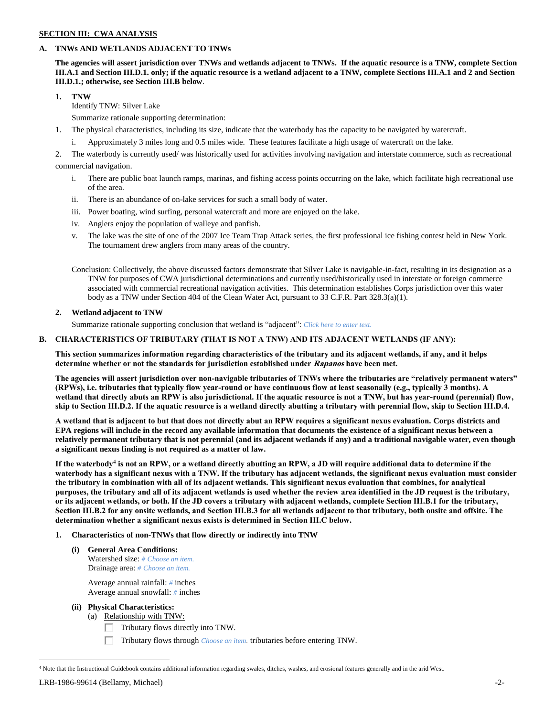# **SECTION III: CWA ANALYSIS**

## **A. TNWs AND WETLANDS ADJACENT TO TNWs**

**The agencies will assert jurisdiction over TNWs and wetlands adjacent to TNWs. If the aquatic resource is a TNW, complete Section III.A.1 and Section III.D.1. only; if the aquatic resource is a wetland adjacent to a TNW, complete Sections III.A.1 and 2 and Section III.D.1.; otherwise, see Section III.B below**.

**1. TNW** 

Identify TNW: Silver Lake

Summarize rationale supporting determination:

- 1. The physical characteristics, including its size, indicate that the waterbody has the capacity to be navigated by watercraft.
	- i. Approximately 3 miles long and 0.5 miles wide. These features facilitate a high usage of watercraft on the lake.

2. The waterbody is currently used/ was historically used for activities involving navigation and interstate commerce, such as recreational commercial navigation.

- i. There are public boat launch ramps, marinas, and fishing access points occurring on the lake, which facilitate high recreational use of the area.
- ii. There is an abundance of on-lake services for such a small body of water.
- iii. Power boating, wind surfing, personal watercraft and more are enjoyed on the lake.
- iv. Anglers enjoy the population of walleye and panfish.
- v. The lake was the site of one of the 2007 Ice Team Trap Attack series, the first professional ice fishing contest held in New York. The tournament drew anglers from many areas of the country.

Conclusion: Collectively, the above discussed factors demonstrate that Silver Lake is navigable-in-fact, resulting in its designation as a TNW for purposes of CWA jurisdictional determinations and currently used/historically used in interstate or foreign commerce associated with commercial recreational navigation activities. This determination establishes Corps jurisdiction over this water body as a TNW under Section 404 of the Clean Water Act, pursuant to 33 C.F.R. Part 328.3(a)(1).

#### **2. Wetland adjacent to TNW**

Summarize rationale supporting conclusion that wetland is "adjacent": *Click here to enter text.*

### **B. CHARACTERISTICS OF TRIBUTARY (THAT IS NOT A TNW) AND ITS ADJACENT WETLANDS (IF ANY):**

**This section summarizes information regarding characteristics of the tributary and its adjacent wetlands, if any, and it helps determine whether or not the standards for jurisdiction established under Rapanos have been met.** 

**The agencies will assert jurisdiction over non-navigable tributaries of TNWs where the tributaries are "relatively permanent waters" (RPWs), i.e. tributaries that typically flow year-round or have continuous flow at least seasonally (e.g., typically 3 months). A wetland that directly abuts an RPW is also jurisdictional. If the aquatic resource is not a TNW, but has year-round (perennial) flow, skip to Section III.D.2. If the aquatic resource is a wetland directly abutting a tributary with perennial flow, skip to Section III.D.4.**

**A wetland that is adjacent to but that does not directly abut an RPW requires a significant nexus evaluation. Corps districts and EPA regions will include in the record any available information that documents the existence of a significant nexus between a relatively permanent tributary that is not perennial (and its adjacent wetlands if any) and a traditional navigable water, even though a significant nexus finding is not required as a matter of law.**

**If the waterbody<sup>4</sup> is not an RPW, or a wetland directly abutting an RPW, a JD will require additional data to determine if the waterbody has a significant nexus with a TNW. If the tributary has adjacent wetlands, the significant nexus evaluation must consider the tributary in combination with all of its adjacent wetlands. This significant nexus evaluation that combines, for analytical purposes, the tributary and all of its adjacent wetlands is used whether the review area identified in the JD request is the tributary, or its adjacent wetlands, or both. If the JD covers a tributary with adjacent wetlands, complete Section III.B.1 for the tributary, Section III.B.2 for any onsite wetlands, and Section III.B.3 for all wetlands adjacent to that tributary, both onsite and offsite. The determination whether a significant nexus exists is determined in Section III.C below.**

- **1. Characteristics of non-TNWs that flow directly or indirectly into TNW**
	- **(i) General Area Conditions:** Watershed size: *# Choose an item.* Drainage area: *# Choose an item.*

Average annual rainfall: *#* inches Average annual snowfall: *#* inches

## **(ii) Physical Characteristics:**

- (a) Relationship with TNW:
	- Tributary flows directly into TNW.

П. Tributary flows through *Choose an item.* tributaries before entering TNW.

<sup>4</sup> Note that the Instructional Guidebook contains additional information regarding swales, ditches, washes, and erosional features generally and in the arid West.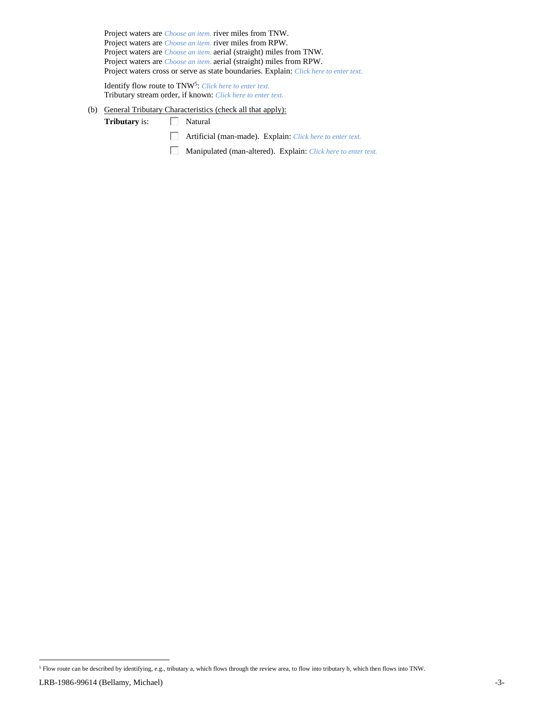Project waters are *Choose an item.* river miles from TNW. Project waters are *Choose an item.* river miles from RPW. Project waters are *Choose an item.* aerial (straight) miles from TNW. Project waters are *Choose an item.* aerial (straight) miles from RPW. Project waters cross or serve as state boundaries. Explain: *Click here to enter text.*

Identify flow route to TNW<sup>5</sup>: Click here to enter text. Tributary stream order, if known: *Click here to enter text.*

- (b) General Tributary Characteristics (check all that apply):
	- Tributary is:  $\Box$  Natural
		- Artificial (man-made). Explain: *Click here to enter text.*
		- Manipulated (man-altered). Explain: *Click here to enter text.*

<sup>5</sup> Flow route can be described by identifying, e.g., tributary a, which flows through the review area, to flow into tributary b, which then flows into TNW.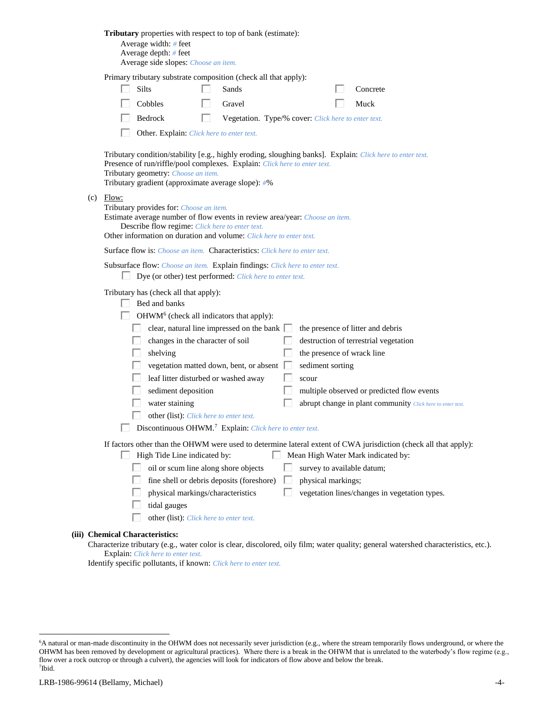|     | Tributary properties with respect to top of bank (estimate):<br>Average width: # feet<br>Average depth: # feet<br>Average side slopes: Choose an item.                                                                                                                                                                                                                                                                                                                                                                                                                                                                                                                                                                       |
|-----|------------------------------------------------------------------------------------------------------------------------------------------------------------------------------------------------------------------------------------------------------------------------------------------------------------------------------------------------------------------------------------------------------------------------------------------------------------------------------------------------------------------------------------------------------------------------------------------------------------------------------------------------------------------------------------------------------------------------------|
|     | Primary tributary substrate composition (check all that apply):<br>Silts<br>Sands<br>Concrete<br>Cobbles<br>Gravel<br>Muck<br>Bedrock<br>Vegetation. Type/% cover: Click here to enter text.<br>Other. Explain: Click here to enter text.                                                                                                                                                                                                                                                                                                                                                                                                                                                                                    |
| (c) | Tributary condition/stability [e.g., highly eroding, sloughing banks]. Explain: Click here to enter text.<br>Presence of run/riffle/pool complexes. Explain: Click here to enter text.<br>Tributary geometry: Choose an item.<br>Tributary gradient (approximate average slope): #%<br>Flow:                                                                                                                                                                                                                                                                                                                                                                                                                                 |
|     | Tributary provides for: Choose an item.<br>Estimate average number of flow events in review area/year: Choose an item.<br>Describe flow regime: Click here to enter text.<br>Other information on duration and volume: Click here to enter text.                                                                                                                                                                                                                                                                                                                                                                                                                                                                             |
|     | <b>Surface flow is:</b> <i>Choose an item.</i> <b>Characteristics:</b> <i>Click here to enter text.</i><br>Subsurface flow: Choose an item. Explain findings: Click here to enter text.<br>Dye (or other) test performed: Click here to enter text.                                                                                                                                                                                                                                                                                                                                                                                                                                                                          |
|     | Tributary has (check all that apply):<br>Bed and banks<br>OHWM <sup>6</sup> (check all indicators that apply):<br>clear, natural line impressed on the bank $\Box$<br>the presence of litter and debris<br>changes in the character of soil<br>destruction of terrestrial vegetation<br>shelving<br>the presence of wrack line<br>vegetation matted down, bent, or absent $\Box$<br>sediment sorting<br>leaf litter disturbed or washed away<br>scour<br>sediment deposition<br>multiple observed or predicted flow events<br>water staining<br>abrupt change in plant community Click here to enter text.<br>other (list): Click here to enter text.<br>Discontinuous OHWM. <sup>7</sup> Explain: Click here to enter text. |
|     | If factors other than the OHWM were used to determine lateral extent of CWA jurisdiction (check all that apply):<br>High Tide Line indicated by:<br>Mean High Water Mark indicated by:<br>oil or scum line along shore objects<br>survey to available datum;<br>fine shell or debris deposits (foreshore)<br>physical markings;<br>physical markings/characteristics<br>vegetation lines/changes in vegetation types.<br>tidal gauges<br>other (list): Click here to enter text.                                                                                                                                                                                                                                             |
|     | (iii) Chemical Characteristics:<br>Characterize tributary (e.g., water color is clear, discolored, oily film; water quality; general watershed characteristics, etc.).<br>Explain: Click here to enter text.                                                                                                                                                                                                                                                                                                                                                                                                                                                                                                                 |

Identify specific pollutants, if known: *Click here to enter text.*

<sup>6</sup>A natural or man-made discontinuity in the OHWM does not necessarily sever jurisdiction (e.g., where the stream temporarily flows underground, or where the OHWM has been removed by development or agricultural practices). Where there is a break in the OHWM that is unrelated to the waterbody's flow regime (e.g., flow over a rock outcrop or through a culvert), the agencies will look for indicators of flow above and below the break. 7 Ibid.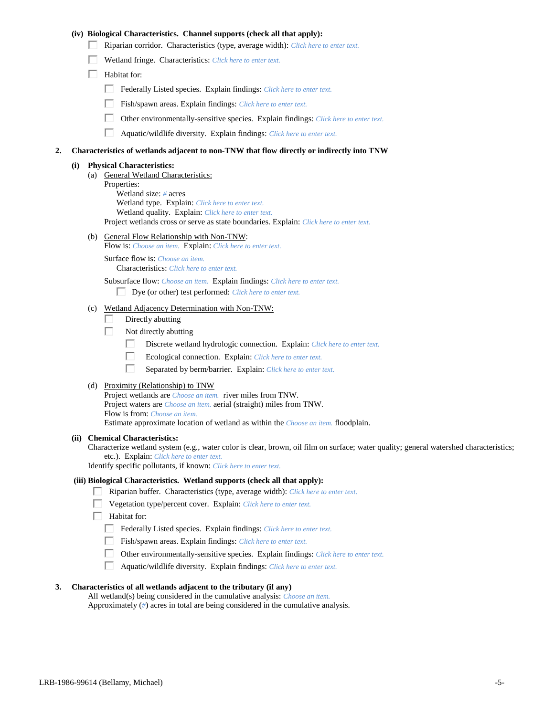## **(iv) Biological Characteristics. Channel supports (check all that apply):**

- Riparian corridor. Characteristics (type, average width): *Click here to enter text.*
- Wetland fringe. Characteristics: *Click here to enter text.*
- $\Box$  Habitat for:
	- Federally Listed species. Explain findings: *Click here to enter text.*
	- Fish/spawn areas. Explain findings: *Click here to enter text.*
	- $\Box$ Other environmentally-sensitive species. Explain findings: *Click here to enter text.*
	- П Aquatic/wildlife diversity. Explain findings: *Click here to enter text.*

#### **2. Characteristics of wetlands adjacent to non-TNW that flow directly or indirectly into TNW**

#### **(i) Physical Characteristics:**

- (a) General Wetland Characteristics: Properties: Wetland size: *#* acres Wetland type. Explain: *Click here to enter text.* Wetland quality. Explain: *Click here to enter text.* Project wetlands cross or serve as state boundaries. Explain: *Click here to enter text.*
- (b) General Flow Relationship with Non-TNW:
	- Flow is: *Choose an item.* Explain: *Click here to enter text.*

Surface flow is: *Choose an item.* Characteristics: *Click here to enter text.*

Subsurface flow: *Choose an item.* Explain findings: *Click here to enter text.*

Dye (or other) test performed: *Click here to enter text.*

## (c) Wetland Adjacency Determination with Non-TNW:

- П. Directly abutting
- Г. Not directly abutting
	- П. Discrete wetland hydrologic connection. Explain: *Click here to enter text.*
	- П. Ecological connection. Explain: *Click here to enter text.*
	- П. Separated by berm/barrier. Explain: *Click here to enter text.*
- (d) Proximity (Relationship) to TNW

Project wetlands are *Choose an item.* river miles from TNW. Project waters are *Choose an item.* aerial (straight) miles from TNW. Flow is from: *Choose an item.* Estimate approximate location of wetland as within the *Choose an item.* floodplain.

#### **(ii) Chemical Characteristics:**

Characterize wetland system (e.g., water color is clear, brown, oil film on surface; water quality; general watershed characteristics; etc.). Explain: *Click here to enter text.*

Identify specific pollutants, if known: *Click here to enter text.*

#### **(iii) Biological Characteristics. Wetland supports (check all that apply):**

- Riparian buffer. Characteristics (type, average width): *Click here to enter text.*
- Vegetation type/percent cover. Explain: *Click here to enter text.*
- $\Box$  Habitat for:
	- Federally Listed species. Explain findings: *Click here to enter text*.
	- Fish/spawn areas. Explain findings: *Click here to enter text.*
	- $\Box$ Other environmentally-sensitive species. Explain findings: *Click here to enter text.*
	- $\Box$ Aquatic/wildlife diversity. Explain findings: *Click here to enter text.*

## **3. Characteristics of all wetlands adjacent to the tributary (if any)**

All wetland(s) being considered in the cumulative analysis: *Choose an item.* Approximately (*#*) acres in total are being considered in the cumulative analysis.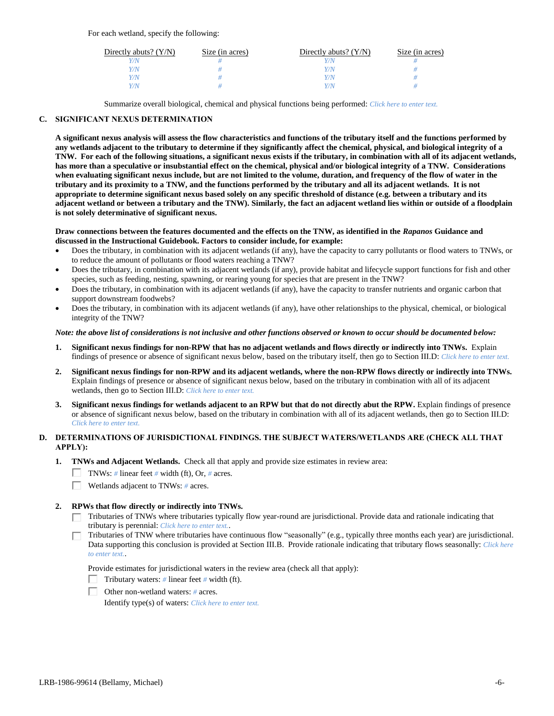For each wetland, specify the following:

| Directly abuts? $(Y/N)$ | Size (in acres) | Directly abuts? $(Y/N)$ | Size (in acres) |
|-------------------------|-----------------|-------------------------|-----------------|
| V/N                     |                 |                         |                 |
| Y/N                     |                 | Y/N                     |                 |
| Y/N                     |                 | Y/N                     |                 |
| Y/N                     |                 | 77 N                    |                 |

Summarize overall biological, chemical and physical functions being performed: *Click here to enter text.*

## **C. SIGNIFICANT NEXUS DETERMINATION**

**A significant nexus analysis will assess the flow characteristics and functions of the tributary itself and the functions performed by any wetlands adjacent to the tributary to determine if they significantly affect the chemical, physical, and biological integrity of a TNW. For each of the following situations, a significant nexus exists if the tributary, in combination with all of its adjacent wetlands, has more than a speculative or insubstantial effect on the chemical, physical and/or biological integrity of a TNW. Considerations when evaluating significant nexus include, but are not limited to the volume, duration, and frequency of the flow of water in the tributary and its proximity to a TNW, and the functions performed by the tributary and all its adjacent wetlands. It is not appropriate to determine significant nexus based solely on any specific threshold of distance (e.g. between a tributary and its adjacent wetland or between a tributary and the TNW). Similarly, the fact an adjacent wetland lies within or outside of a floodplain is not solely determinative of significant nexus.** 

#### **Draw connections between the features documented and the effects on the TNW, as identified in the** *Rapanos* **Guidance and discussed in the Instructional Guidebook. Factors to consider include, for example:**

- Does the tributary, in combination with its adjacent wetlands (if any), have the capacity to carry pollutants or flood waters to TNWs, or to reduce the amount of pollutants or flood waters reaching a TNW?
- Does the tributary, in combination with its adjacent wetlands (if any), provide habitat and lifecycle support functions for fish and other species, such as feeding, nesting, spawning, or rearing young for species that are present in the TNW?
- Does the tributary, in combination with its adjacent wetlands (if any), have the capacity to transfer nutrients and organic carbon that support downstream foodwebs?
- Does the tributary, in combination with its adjacent wetlands (if any), have other relationships to the physical, chemical, or biological integrity of the TNW?

#### *Note: the above list of considerations is not inclusive and other functions observed or known to occur should be documented below:*

- **1. Significant nexus findings for non-RPW that has no adjacent wetlands and flows directly or indirectly into TNWs.** Explain findings of presence or absence of significant nexus below, based on the tributary itself, then go to Section III.D: *Click here to enter text.*
- **2. Significant nexus findings for non-RPW and its adjacent wetlands, where the non-RPW flows directly or indirectly into TNWs.**  Explain findings of presence or absence of significant nexus below, based on the tributary in combination with all of its adjacent wetlands, then go to Section III.D: *Click here to enter text.*
- **3. Significant nexus findings for wetlands adjacent to an RPW but that do not directly abut the RPW.** Explain findings of presence or absence of significant nexus below, based on the tributary in combination with all of its adjacent wetlands, then go to Section III.D: *Click here to enter text.*

## **D. DETERMINATIONS OF JURISDICTIONAL FINDINGS. THE SUBJECT WATERS/WETLANDS ARE (CHECK ALL THAT APPLY):**

- **1. TNWs and Adjacent Wetlands.** Check all that apply and provide size estimates in review area:
	- TNWs: *#* linear feet *#* width (ft), Or, *#* acres.
	- Wetlands adjacent to TNWs: *#* acres.

## **2. RPWs that flow directly or indirectly into TNWs.**

- Tributaries of TNWs where tributaries typically flow year-round are jurisdictional. Provide data and rationale indicating that tributary is perennial: *Click here to enter text.*.
- Tributaries of TNW where tributaries have continuous flow "seasonally" (e.g., typically three months each year) are jurisdictional. Data supporting this conclusion is provided at Section III.B. Provide rationale indicating that tributary flows seasonally: *Click here to enter text.*.

Provide estimates for jurisdictional waters in the review area (check all that apply):

- Tributary waters: *#* linear feet *#* width (ft).
- Other non-wetland waters: *#* acres.

Identify type(s) of waters: *Click here to enter text.*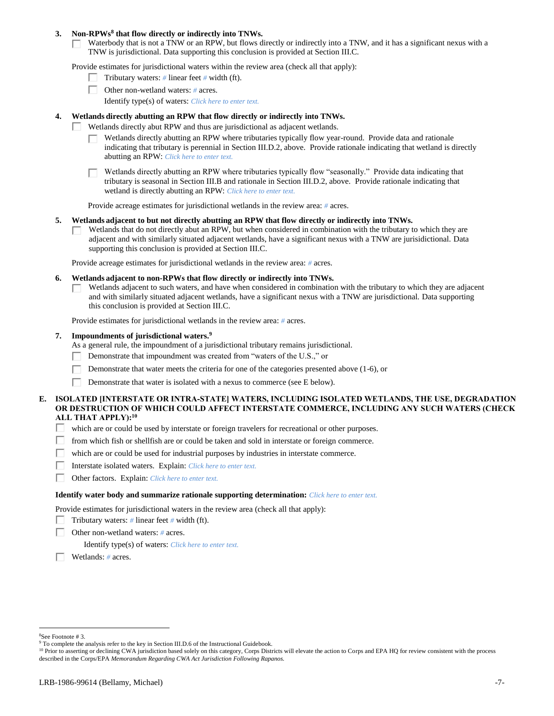### **3. Non-RPWs<sup>8</sup> that flow directly or indirectly into TNWs.**

Waterbody that is not a TNW or an RPW, but flows directly or indirectly into a TNW, and it has a significant nexus with a  $\mathbb{R}^n$ TNW is jurisdictional. Data supporting this conclusion is provided at Section III.C.

Provide estimates for jurisdictional waters within the review area (check all that apply):

- Tributary waters: *#* linear feet *#* width (ft).
- Other non-wetland waters: *#* acres.
	- Identify type(s) of waters: *Click here to enter text.*

### **4. Wetlands directly abutting an RPW that flow directly or indirectly into TNWs.**

- Wetlands directly abut RPW and thus are jurisdictional as adjacent wetlands. п
	- Wetlands directly abutting an RPW where tributaries typically flow year-round. Provide data and rationale indicating that tributary is perennial in Section III.D.2, above. Provide rationale indicating that wetland is directly abutting an RPW: *Click here to enter text.*

Wetlands directly abutting an RPW where tributaries typically flow "seasonally." Provide data indicating that tributary is seasonal in Section III.B and rationale in Section III.D.2, above. Provide rationale indicating that wetland is directly abutting an RPW: *Click here to enter text.*

Provide acreage estimates for jurisdictional wetlands in the review area: *#* acres.

### **5. Wetlands adjacent to but not directly abutting an RPW that flow directly or indirectly into TNWs.**

Wetlands that do not directly abut an RPW, but when considered in combination with the tributary to which they are  $\mathbf{L}$ adjacent and with similarly situated adjacent wetlands, have a significant nexus with a TNW are jurisidictional. Data supporting this conclusion is provided at Section III.C.

Provide acreage estimates for jurisdictional wetlands in the review area: *#* acres.

### **6. Wetlands adjacent to non-RPWs that flow directly or indirectly into TNWs.**

Wetlands adjacent to such waters, and have when considered in combination with the tributary to which they are adjacent п and with similarly situated adjacent wetlands, have a significant nexus with a TNW are jurisdictional. Data supporting this conclusion is provided at Section III.C.

Provide estimates for jurisdictional wetlands in the review area: *#* acres.

#### **7. Impoundments of jurisdictional waters. 9**

As a general rule, the impoundment of a jurisdictional tributary remains jurisdictional.

- п Demonstrate that impoundment was created from "waters of the U.S.," or
- Demonstrate that water meets the criteria for one of the categories presented above (1-6), or
- Г Demonstrate that water is isolated with a nexus to commerce (see E below).

## **E. ISOLATED [INTERSTATE OR INTRA-STATE] WATERS, INCLUDING ISOLATED WETLANDS, THE USE, DEGRADATION OR DESTRUCTION OF WHICH COULD AFFECT INTERSTATE COMMERCE, INCLUDING ANY SUCH WATERS (CHECK ALL THAT APPLY):<sup>10</sup>**

- П. which are or could be used by interstate or foreign travelers for recreational or other purposes.
- from which fish or shellfish are or could be taken and sold in interstate or foreign commerce. П.
- П. which are or could be used for industrial purposes by industries in interstate commerce.
- П. Interstate isolated waters.Explain: *Click here to enter text.*
- П. Other factors.Explain: *Click here to enter text.*

#### **Identify water body and summarize rationale supporting determination:** *Click here to enter text.*

Provide estimates for jurisdictional waters in the review area (check all that apply):

- Tributary waters:  $\#$  linear feet  $\#$  width (ft).
- г Other non-wetland waters: *#* acres.

Identify type(s) of waters: *Click here to enter text.*

Wetlands: *#* acres.

<sup>8</sup>See Footnote # 3.

<sup>&</sup>lt;sup>9</sup> To complete the analysis refer to the key in Section III.D.6 of the Instructional Guidebook.

<sup>&</sup>lt;sup>10</sup> Prior to asserting or declining CWA jurisdiction based solely on this category, Corps Districts will elevate the action to Corps and EPA HQ for review consistent with the process described in the Corps/EPA *Memorandum Regarding CWA Act Jurisdiction Following Rapanos.*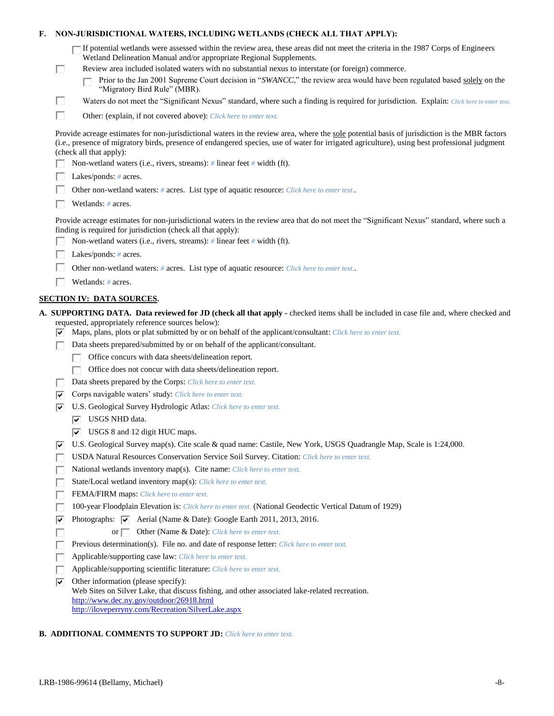| F.                                                                                         | NON-JURISDICTIONAL WATERS, INCLUDING WETLANDS (CHECK ALL THAT APPLY): |                                                                                                                                                                                                                                                                                                                                                                                                                                           |  |
|--------------------------------------------------------------------------------------------|-----------------------------------------------------------------------|-------------------------------------------------------------------------------------------------------------------------------------------------------------------------------------------------------------------------------------------------------------------------------------------------------------------------------------------------------------------------------------------------------------------------------------------|--|
|                                                                                            | ш                                                                     | If potential wetlands were assessed within the review area, these areas did not meet the criteria in the 1987 Corps of Engineers<br>Wetland Delineation Manual and/or appropriate Regional Supplements.<br>Review area included isolated waters with no substantial nexus to interstate (or foreign) commerce.<br>Prior to the Jan 2001 Supreme Court decision in "SWANCC," the review area would have been regulated based solely on the |  |
|                                                                                            |                                                                       | "Migratory Bird Rule" (MBR).                                                                                                                                                                                                                                                                                                                                                                                                              |  |
|                                                                                            | п                                                                     | Waters do not meet the "Significant Nexus" standard, where such a finding is required for jurisdiction. Explain: Click here to enter text.                                                                                                                                                                                                                                                                                                |  |
|                                                                                            | П                                                                     | Other: (explain, if not covered above): Click here to enter text.                                                                                                                                                                                                                                                                                                                                                                         |  |
|                                                                                            |                                                                       | Provide acreage estimates for non-jurisdictional waters in the review area, where the sole potential basis of jurisdiction is the MBR factors<br>(i.e., presence of migratory birds, presence of endangered species, use of water for irrigated agriculture), using best professional judgment<br>(check all that apply):                                                                                                                 |  |
|                                                                                            |                                                                       | Non-wetland waters (i.e., rivers, streams): # linear feet # width (ft).                                                                                                                                                                                                                                                                                                                                                                   |  |
|                                                                                            |                                                                       | Lakes/ponds: $# \, \text{acres.}$                                                                                                                                                                                                                                                                                                                                                                                                         |  |
| Other non-wetland waters: # acres. List type of aquatic resource: Click here to enter text |                                                                       |                                                                                                                                                                                                                                                                                                                                                                                                                                           |  |
|                                                                                            |                                                                       | Wetlands: # acres.                                                                                                                                                                                                                                                                                                                                                                                                                        |  |
|                                                                                            |                                                                       | Provide acreage estimates for non-jurisdictional waters in the review area that do not meet the "Significant Nexus" standard, where such a<br>finding is required for jurisdiction (check all that apply):<br>Non-wetland waters (i.e., rivers, streams): $\#$ linear feet $\#$ width (ft).                                                                                                                                               |  |
|                                                                                            |                                                                       | Lakes/ponds: $# \, \text{acres.}$                                                                                                                                                                                                                                                                                                                                                                                                         |  |
|                                                                                            |                                                                       | Other non-wetland waters: # acres. List type of aquatic resource: Click here to enter text                                                                                                                                                                                                                                                                                                                                                |  |
|                                                                                            |                                                                       | Wetlands: # acres.                                                                                                                                                                                                                                                                                                                                                                                                                        |  |
|                                                                                            |                                                                       | <b>SECTION IV: DATA SOURCES.</b>                                                                                                                                                                                                                                                                                                                                                                                                          |  |
|                                                                                            | ▽                                                                     | A. SUPPORTING DATA. Data reviewed for JD (check all that apply - checked items shall be included in case file and, where checked and<br>requested, appropriately reference sources below):<br>Maps, plans, plots or plat submitted by or on behalf of the applicant/consultant: Click here to enter text.                                                                                                                                 |  |
|                                                                                            |                                                                       | Data sheets prepared/submitted by or on behalf of the applicant/consultant.                                                                                                                                                                                                                                                                                                                                                               |  |
|                                                                                            |                                                                       | Office concurs with data sheets/delineation report.                                                                                                                                                                                                                                                                                                                                                                                       |  |
|                                                                                            |                                                                       | Office does not concur with data sheets/delineation report.                                                                                                                                                                                                                                                                                                                                                                               |  |
|                                                                                            |                                                                       | Data sheets prepared by the Corps: Click here to enter text.                                                                                                                                                                                                                                                                                                                                                                              |  |
|                                                                                            | ∣V                                                                    | Corps navigable waters' study: Click here to enter text.                                                                                                                                                                                                                                                                                                                                                                                  |  |
|                                                                                            | ☞                                                                     | U.S. Geological Survey Hydrologic Atlas: Click here to enter text.                                                                                                                                                                                                                                                                                                                                                                        |  |
|                                                                                            |                                                                       | USGS NHD data.                                                                                                                                                                                                                                                                                                                                                                                                                            |  |
|                                                                                            |                                                                       | $\overline{v}$ USGS 8 and 12 digit HUC maps.                                                                                                                                                                                                                                                                                                                                                                                              |  |
|                                                                                            | ▽                                                                     | U.S. Geological Survey map(s). Cite scale & quad name: Castile, New York, USGS Quadrangle Map, Scale is 1:24,000.                                                                                                                                                                                                                                                                                                                         |  |
|                                                                                            |                                                                       | USDA Natural Resources Conservation Service Soil Survey. Citation: Click here to enter text.                                                                                                                                                                                                                                                                                                                                              |  |
|                                                                                            |                                                                       | National wetlands inventory map(s). Cite name: Click here to enter text.                                                                                                                                                                                                                                                                                                                                                                  |  |
|                                                                                            |                                                                       | State/Local wetland inventory map(s): Click here to enter text.                                                                                                                                                                                                                                                                                                                                                                           |  |
|                                                                                            |                                                                       | FEMA/FIRM maps: Click here to enter text.                                                                                                                                                                                                                                                                                                                                                                                                 |  |
|                                                                                            |                                                                       | 100-year Floodplain Elevation is: Click here to enter text. (National Geodectic Vertical Datum of 1929)                                                                                                                                                                                                                                                                                                                                   |  |
|                                                                                            | ⊽                                                                     | Photographs: $\overline{\triangledown}$ Aerial (Name & Date): Google Earth 2011, 2013, 2016.                                                                                                                                                                                                                                                                                                                                              |  |
|                                                                                            |                                                                       | Other (Name & Date): Click here to enter text.<br>or $\Box$                                                                                                                                                                                                                                                                                                                                                                               |  |
|                                                                                            |                                                                       | Previous determination(s). File no. and date of response letter: Click here to enter text.                                                                                                                                                                                                                                                                                                                                                |  |
|                                                                                            |                                                                       | Applicable/supporting case law: Click here to enter text.                                                                                                                                                                                                                                                                                                                                                                                 |  |
|                                                                                            |                                                                       | Applicable/supporting scientific literature: Click here to enter text.                                                                                                                                                                                                                                                                                                                                                                    |  |
|                                                                                            | ⊽                                                                     | Other information (please specify):<br>Web Sites on Silver Lake, that discuss fishing, and other associated lake-related recreation.                                                                                                                                                                                                                                                                                                      |  |
|                                                                                            |                                                                       | http://www.dec.ny.gov/outdoor/26918.html<br>http://iloveperryny.com/Recreation/SilverLake.aspx                                                                                                                                                                                                                                                                                                                                            |  |

# **B. ADDITIONAL COMMENTS TO SUPPORT JD:** *Click here to enter text.*